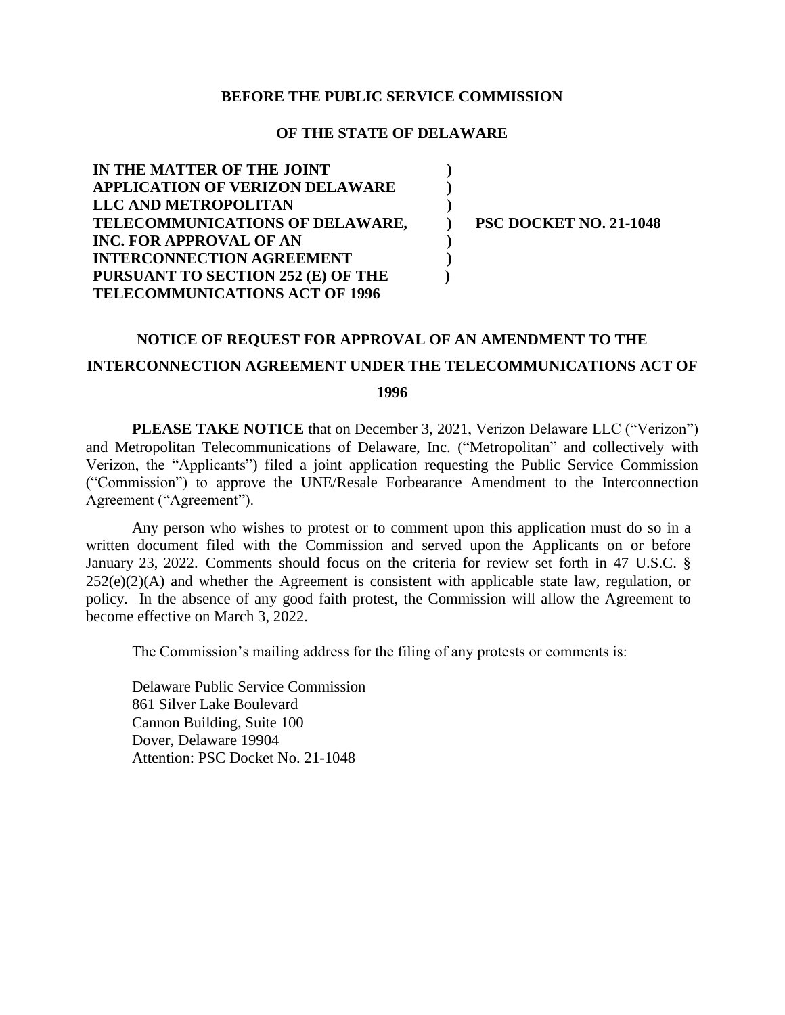#### **BEFORE THE PUBLIC SERVICE COMMISSION**

#### **OF THE STATE OF DELAWARE**

**) ) ) ) ) ) )**

| IN THE MATTER OF THE JOINT             |
|----------------------------------------|
| <b>APPLICATION OF VERIZON DELAWARE</b> |
| LLC AND METROPOLITAN                   |
| TELECOMMUNICATIONS OF DELAWARE,        |
| <b>INC. FOR APPROVAL OF AN</b>         |
| <b>INTERCONNECTION AGREEMENT</b>       |
| PURSUANT TO SECTION 252 (E) OF THE     |
| <b>TELECOMMUNICATIONS ACT OF 1996</b>  |

**PSC DOCKET NO. 21-1048**

## **NOTICE OF REQUEST FOR APPROVAL OF AN AMENDMENT TO THE**

# **INTERCONNECTION AGREEMENT UNDER THE TELECOMMUNICATIONS ACT OF**

**1996**

**PLEASE TAKE NOTICE** that on December 3, 2021, Verizon Delaware LLC ("Verizon") and Metropolitan Telecommunications of Delaware, Inc. ("Metropolitan" and collectively with Verizon, the "Applicants") filed a joint application requesting the Public Service Commission ("Commission") to approve the UNE/Resale Forbearance Amendment to the Interconnection Agreement ("Agreement").

Any person who wishes to protest or to comment upon this application must do so in a written document filed with the Commission and served upon the Applicants on or before January 23, 2022. Comments should focus on the criteria for review set forth in 47 U.S.C. §  $252(e)(2)(A)$  and whether the Agreement is consistent with applicable state law, regulation, or policy. In the absence of any good faith protest, the Commission will allow the Agreement to become effective on March 3, 2022.

The Commission's mailing address for the filing of any protests or comments is:

Delaware Public Service Commission 861 Silver Lake Boulevard Cannon Building, Suite 100 Dover, Delaware 19904 Attention: PSC Docket No. 21-1048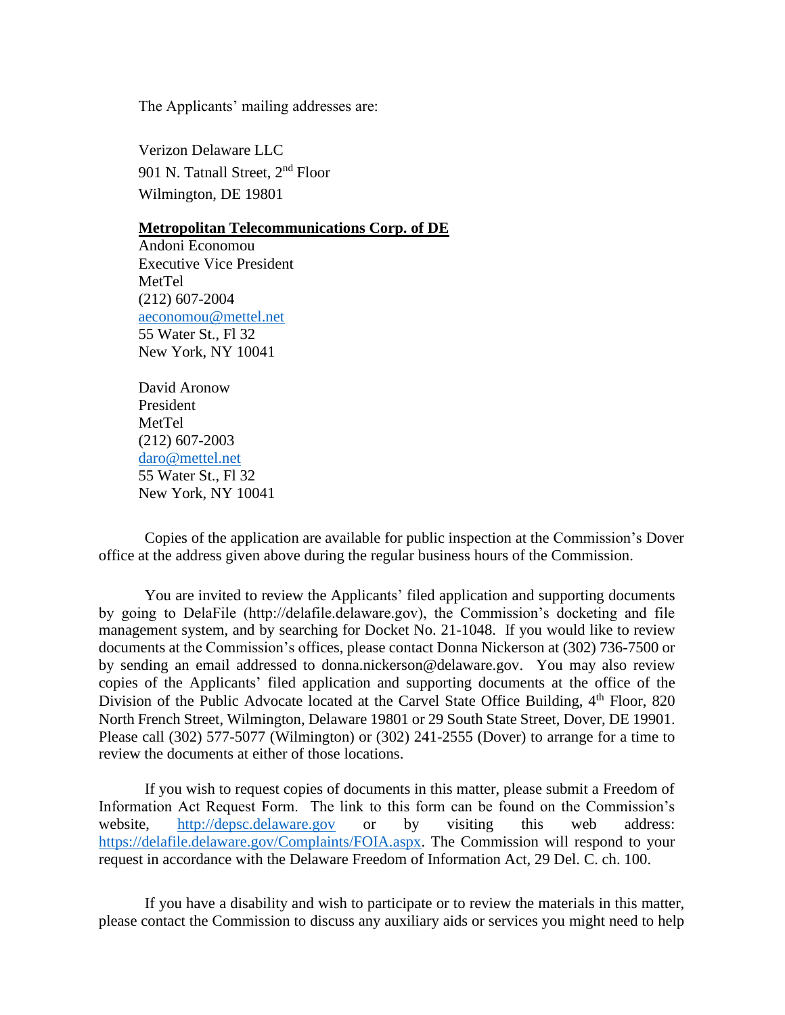The Applicants' mailing addresses are:

Verizon Delaware LLC 901 N. Tatnall Street, 2<sup>nd</sup> Floor Wilmington, DE 19801

### **Metropolitan Telecommunications Corp. of DE**

Andoni Economou Executive Vice President MetTel (212) 607-2004 [aeconomou@mettel.net](mailto:aeconomou@mettel.net) 55 Water St., Fl 32 New York, NY 10041

David Aronow President MetTel (212) 607-2003 [daro@mettel.net](mailto:daro@mettel.net) 55 Water St., Fl 32 New York, NY 10041

Copies of the application are available for public inspection at the Commission's Dover office at the address given above during the regular business hours of the Commission.

You are invited to review the Applicants' filed application and supporting documents by going to DelaFile (http://delafile.delaware.gov), the Commission's docketing and file management system, and by searching for Docket No. 21-1048. If you would like to review documents at the Commission's offices, please contact Donna Nickerson at (302) 736-7500 or by sending an email addressed to donna.nickerson@delaware.gov. You may also review copies of the Applicants' filed application and supporting documents at the office of the Division of the Public Advocate located at the Carvel State Office Building, 4<sup>th</sup> Floor, 820 North French Street, Wilmington, Delaware 19801 or 29 South State Street, Dover, DE 19901. Please call (302) 577-5077 (Wilmington) or (302) 241-2555 (Dover) to arrange for a time to review the documents at either of those locations.

If you wish to request copies of documents in this matter, please submit a Freedom of Information Act Request Form. The link to this form can be found on the Commission's website, [http://depsc.delaware.gov](http://depsc.delaware.gov/) or by visiting this web address: [https://delafile.delaware.gov/Complaints/FOIA.aspx.](https://delafile.delaware.gov/Complaints/FOIA.aspx) The Commission will respond to your request in accordance with the Delaware Freedom of Information Act, 29 Del. C. ch. 100.

If you have a disability and wish to participate or to review the materials in this matter, please contact the Commission to discuss any auxiliary aids or services you might need to help